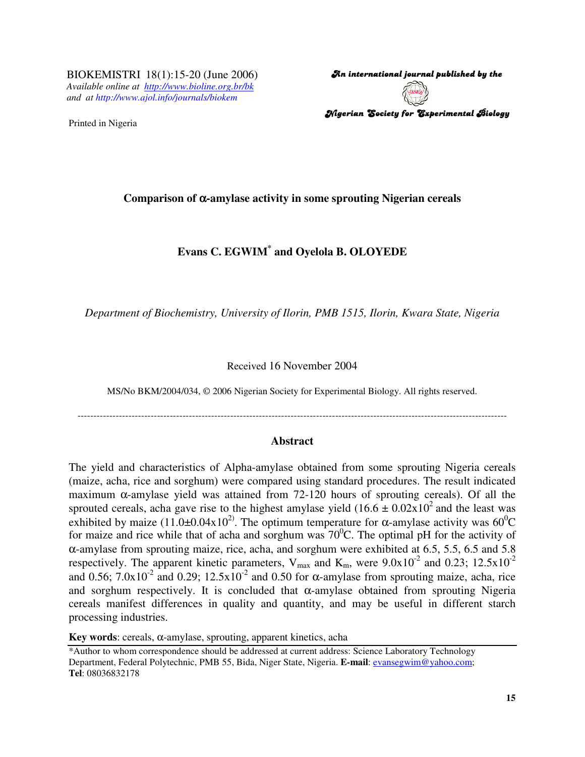BIOKEMISTRI 18(1):15-20 (June 2006) *Available online at http://www.bioline.org.br/bk and at http://www.ajol.info/journals/biokem*

Printed in Nigeria

An international journal published by the  $\,$ Nigerian Society for Experimental Biology

## **Comparison of** α**-amylase activity in some sprouting Nigerian cereals**

# **Evans C. EGWIM\* and Oyelola B. OLOYEDE**

*Department of Biochemistry, University of Ilorin, PMB 1515, Ilorin, Kwara State, Nigeria*

#### Received 16 November 2004

MS/No BKM/2004/034, © 2006 Nigerian Society for Experimental Biology. All rights reserved.

---------------------------------------------------------------------------------------------------------------------------------------

#### **Abstract**

The yield and characteristics of Alpha-amylase obtained from some sprouting Nigeria cereals (maize, acha, rice and sorghum) were compared using standard procedures. The result indicated maximum  $\alpha$ -amylase yield was attained from 72-120 hours of sprouting cereals). Of all the sprouted cereals, acha gave rise to the highest amylase yield  $(16.6 \pm 0.02 \times 10^2)$  and the least was exhibited by maize (11.0 $\pm$ 0.04x10<sup>2</sup>). The optimum temperature for  $\alpha$ -amylase activity was 60<sup>0</sup>C for maize and rice while that of acha and sorghum was  $70^{\circ}$ C. The optimal pH for the activity of α-amylase from sprouting maize, rice, acha, and sorghum were exhibited at 6.5, 5.5, 6.5 and 5.8 respectively. The apparent kinetic parameters,  $V_{\text{max}}$  and  $K_{\text{m}}$ , were  $9.0x10^{-2}$  and  $0.23$ ;  $12.5x10^{-2}$ and 0.56;  $7.0x10<sup>-2</sup>$  and 0.29;  $12.5x10<sup>-2</sup>$  and 0.50 for  $\alpha$ -amylase from sprouting maize, acha, rice and sorghum respectively. It is concluded that  $\alpha$ -amylase obtained from sprouting Nigeria cereals manifest differences in quality and quantity, and may be useful in different starch processing industries.

**Key words**: cereals, α-amylase, sprouting, apparent kinetics, acha

<sup>\*</sup>Author to whom correspondence should be addressed at current address: Science Laboratory Technology Department, Federal Polytechnic, PMB 55, Bida, Niger State, Nigeria. **E-mail**: evansegwim@yahoo.com; **Tel**: 08036832178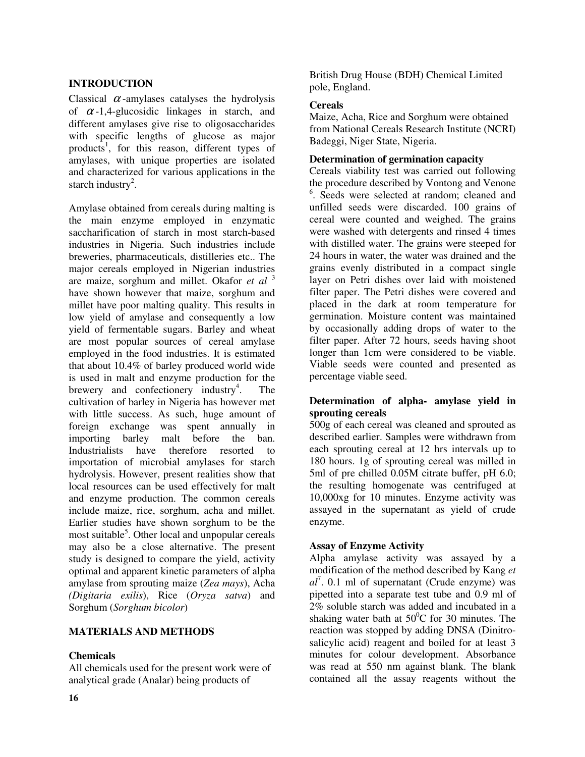# **INTRODUCTION**

Classical  $\alpha$ -amylases catalyses the hydrolysis of  $\alpha$ -1,4-glucosidic linkages in starch, and different amylases give rise to oligosaccharides with specific lengths of glucose as major products 1 , for this reason, different types of amylases, with unique properties are isolated and characterized for various applications in the starch industry<sup>2</sup>.

Amylase obtained from cereals during malting is the main enzyme employed in enzymatic saccharification of starch in most starch-based industries in Nigeria. Such industries include breweries, pharmaceuticals, distilleries etc.. The major cereals employed in Nigerian industries are maize, sorghum and millet. Okafor *et al* 3 have shown however that maize, sorghum and millet have poor malting quality. This results in low yield of amylase and consequently a low yield of fermentable sugars. Barley and wheat are most popular sources of cereal amylase employed in the food industries. It is estimated that about 10.4% of barley produced world wide is used in malt and enzyme production for the brewery and confectionery industry<sup>4</sup> . The cultivation of barley in Nigeria has however met with little success. As such, huge amount of foreign exchange was spent annually in importing barley malt before the ban. Industrialists have therefore resorted to importation of microbial amylases for starch hydrolysis. However, present realities show that local resources can be used effectively for malt and enzyme production. The common cereals include maize, rice, sorghum, acha and millet. Earlier studies have shown sorghum to be the most suitable<sup>5</sup>. Other local and unpopular cereals may also be a close alternative. The present study is designed to compare the yield, activity optimal and apparent kinetic parameters of alpha amylase from sprouting maize (*Zea mays*), Acha *(Digitaria exilis*), Rice (*Oryza satva*) and Sorghum (*Sorghum bicolor*)

## **MATERIALS AND METHODS**

# **Chemicals**

All chemicals used for the present work were of analytical grade (Analar) being products of

British Drug House (BDH) Chemical Limited pole, England.

## **Cereals**

Maize, Acha, Rice and Sorghum were obtained from National Cereals Research Institute (NCRI) Badeggi, Niger State, Nigeria.

#### **Determination of germination capacity**

Cereals viability test was carried out following the procedure described by Vontong and Venone 6 . Seeds were selected at random; cleaned and unfilled seeds were discarded. 100 grains of cereal were counted and weighed. The grains were washed with detergents and rinsed 4 times with distilled water. The grains were steeped for 24 hours in water, the water was drained and the grains evenly distributed in a compact single layer on Petri dishes over laid with moistened filter paper. The Petri dishes were covered and placed in the dark at room temperature for germination. Moisture content was maintained by occasionally adding drops of water to the filter paper. After 72 hours, seeds having shoot longer than 1cm were considered to be viable. Viable seeds were counted and presented as percentage viable seed.

## **Determination of alpha- amylase yield in sprouting cereals**

500g of each cereal was cleaned and sprouted as described earlier. Samples were withdrawn from each sprouting cereal at 12 hrs intervals up to 180 hours. 1g of sprouting cereal was milled in 5ml of pre chilled 0.05M citrate buffer, pH 6.0; the resulting homogenate was centrifuged at 10,000xg for 10 minutes. Enzyme activity was assayed in the supernatant as yield of crude enzyme.

## **Assay of Enzyme Activity**

Alpha amylase activity was assayed by a modification of the method described by Kang *et al* 7 . 0.1 ml of supernatant (Crude enzyme) was pipetted into a separate test tube and 0.9 ml of 2% soluble starch was added and incubated in a shaking water bath at  $50^{\circ}$ C for 30 minutes. The reaction was stopped by adding DNSA (Dinitrosalicylic acid) reagent and boiled for at least 3 minutes for colour development. Absorbance was read at 550 nm against blank. The blank contained all the assay reagents without the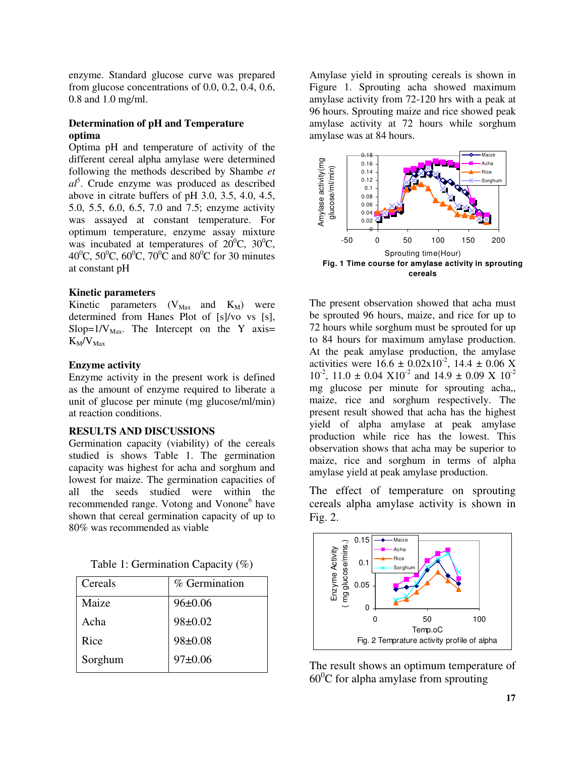enzyme. Standard glucose curve was prepared from glucose concentrations of 0.0, 0.2, 0.4, 0.6, 0.8 and 1.0 mg/ml.

# **Determination of pH and Temperature optima**

Optima pH and temperature of activity of the different cereal alpha amylase were determined following the methods described by Shambe *et al* 5 . Crude enzyme was produced as described above in citrate buffers of pH 3.0, 3.5, 4.0, 4.5, 5.0, 5.5, 6.0, 6.5, 7.0 and 7.5; enzyme activity was assayed at constant temperature. For optimum temperature, enzyme assay mixture was incubated at temperatures of  $20^{\circ}$ C,  $30^{\circ}$ C, 40<sup>o</sup>C, 50<sup>o</sup>C, 60<sup>o</sup>C, 70<sup>o</sup>C and 80<sup>o</sup>C for 30 minutes at constant pH

# **Kinetic parameters**

Kinetic parameters  $(V_{\text{Max}}$  and  $K_M$ ) were determined from Hanes Plot of [s]/vo vs [s], Slop= $1/V_{\text{Max}}$ . The Intercept on the Y axis=  $K_M/V_{\text{Max}}$ 

# **Enzyme activity**

Enzyme activity in the present work is defined as the amount of enzyme required to liberate a unit of glucose per minute (mg glucose/ml/min) at reaction conditions.

## **RESULTS AND DISCUSSIONS**

Germination capacity (viability) of the cereals studied is shows Table 1. The germination capacity was highest for acha and sorghum and lowest for maize. The germination capacities of all the seeds studied were within the recommended range. Votong and Vonone<sup>6</sup> have shown that cereal germination capacity of up to 80% was recommended as viable

Table 1: Germination Capacity (%)

| Cereals | % Germination |
|---------|---------------|
| Maize   | $96 \pm 0.06$ |
| Acha    | $98 \pm 0.02$ |
| Rice    | $98 \pm 0.08$ |
| Sorghum | $97 \pm 0.06$ |

Amylase yield in sprouting cereals is shown in Figure 1. Sprouting acha showed maximum amylase activity from 72-120 hrs with a peak at 96 hours. Sprouting maize and rice showed peak amylase activity at 72 hours while sorghum amylase was at 84 hours.



The present observation showed that acha must be sprouted 96 hours, maize, and rice for up to 72 hours while sorghum must be sprouted for up to 84 hours for maximum amylase production. At the peak amylase production, the amylase activities were  $16.6 \pm 0.02 \times 10^{-2}$ ,  $14.4 \pm 0.06$  X  $10^{-2}$ ,  $11.0 \pm 0.04 \times 10^{-2}$  and  $14.9 \pm 0.09 \times 10^{-2}$ mg glucose per minute for sprouting acha,, maize, rice and sorghum respectively. The present result showed that acha has the highest yield of alpha amylase at peak amylase production while rice has the lowest. This observation shows that acha may be superior to maize, rice and sorghum in terms of alpha amylase yield at peak amylase production.

The effect of temperature on sprouting cereals alpha amylase activity is shown in Fig. 2.



The result shows an optimum temperature of 60 <sup>0</sup>C for alpha amylase from sprouting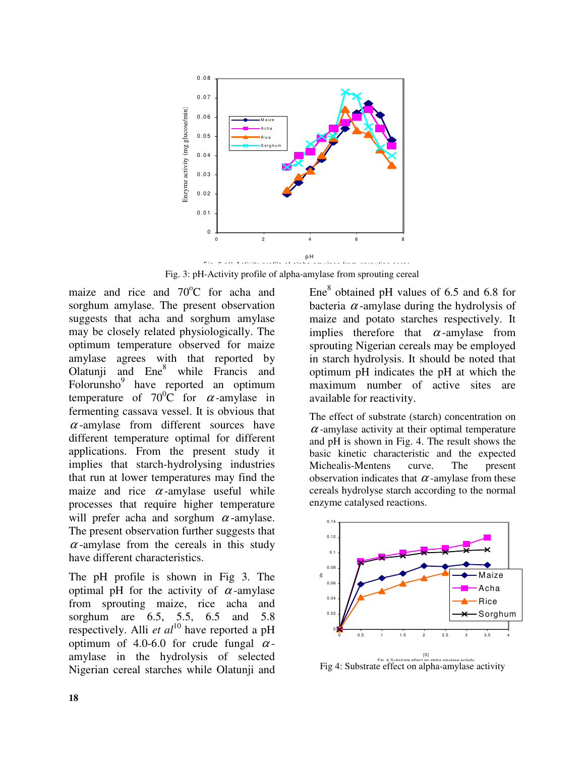

Fig. 3: pH-Activity profile of alpha-amylase from sprouting cereal

maize and rice and 70°C for acha and sorghum amylase. The present observation suggests that acha and sorghum amylase may be closely related physiologically. The optimum temperature observed for maize amylase agrees with that reported by Olatunji and Ene 8 while Francis and Folorunsho<sup>9</sup> have reported an optimum temperature of  $70^0C$  for  $\alpha$ -amylase in fermenting cassava vessel. It is obvious that  $\alpha$ -amylase from different sources have different temperature optimal for different applications. From the present study it implies that starch-hydrolysing industries that run at lower temperatures may find the maize and rice  $\alpha$ -amylase useful while processes that require higher temperature will prefer acha and sorghum  $\alpha$ -amylase. The present observation further suggests that  $\alpha$ -amylase from the cereals in this study have different characteristics.

The pH profile is shown in Fig 3. The optimal pH for the activity of  $\alpha$ -amylase from sprouting maize, rice acha and sorghum are 6.5, 5.5, 6.5 and 5.8 respectively. Alli *et al* 10 have reported a pH optimum of 4.0-6.0 for crude fungal  $\alpha$ amylase in the hydrolysis of selected Nigerian cereal starches while Olatunji and

Ene<sup>8</sup> obtained pH values of 6.5 and 6.8 for bacteria  $\alpha$ -amylase during the hydrolysis of maize and potato starches respectively. It implies therefore that  $\alpha$ -amylase from sprouting Nigerian cereals may be employed in starch hydrolysis. It should be noted that optimum pH indicates the pH at which the maximum number of active sites are available for reactivity.

The effect of substrate (starch) concentration on  $\alpha$ -amylase activity at their optimal temperature and pH is shown in Fig. 4. The result shows the basic kinetic characteristic and the expected Michealis-Mentens curve. The present observation indicates that  $\alpha$ -amylase from these cereals hydrolyse starch according to the normal enzyme catalysed reactions.



Fig. 4 Substrate effect on alpha amylase activity Fig 4: Substrate effect on alpha-amylase activity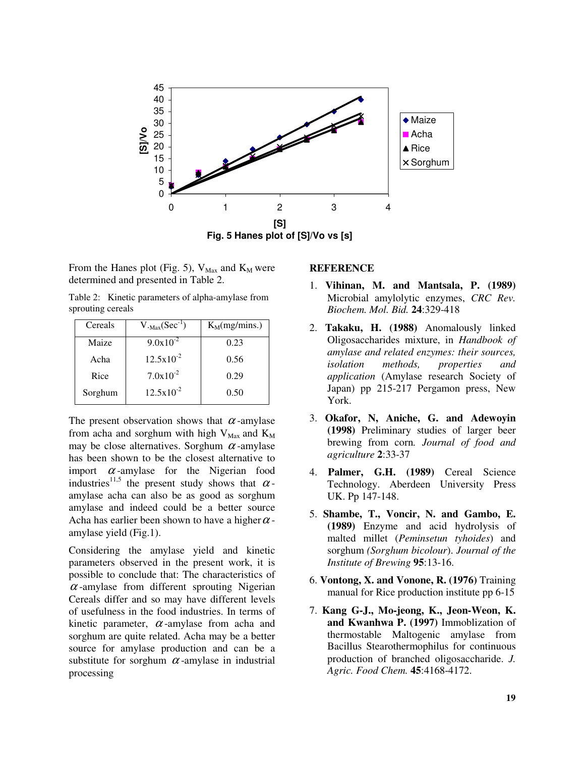

From the Hanes plot (Fig. 5),  $V_{\text{Max}}$  and  $K_M$  were determined and presented in Table 2.

Table 2: Kinetic parameters of alpha-amylase from sprouting cereals

| Cereals | $V_{.Max}(Sec^{-1})$ | $K_M(mg/mins.)$ |
|---------|----------------------|-----------------|
| Maize   | $9.0x10^{-2}$        | 0.23            |
| Acha    | $12.5x10^{-2}$       | 0.56            |
| Rice    | $7.0x10^{-2}$        | 0.29            |
| Sorghum | $12.5x10^{-2}$       | 0.50            |

The present observation shows that  $\alpha$ -amylase from acha and sorghum with high  $V_{\text{Max}}$  and  $K_M$ may be close alternatives. Sorghum  $\alpha$ -amylase has been shown to be the closest alternative to import  $\alpha$ -amylase for the Nigerian food industries<sup>11,5</sup> the present study shows that  $\alpha$ amylase acha can also be as good as sorghum amylase and indeed could be a better source Acha has earlier been shown to have a higher  $\alpha$  amylase yield (Fig.1).

Considering the amylase yield and kinetic parameters observed in the present work, it is possible to conclude that: The characteristics of  $\alpha$ -amylase from different sprouting Nigerian Cereals differ and so may have different levels of usefulness in the food industries. In terms of kinetic parameter,  $\alpha$ -amylase from acha and sorghum are quite related. Acha may be a better source for amylase production and can be a substitute for sorghum  $\alpha$ -amylase in industrial processing

#### **REFERENCE**

- 1. **Vihinan, M. and Mantsala, P. (1989)** Microbial amylolytic enzymes, *CRC Rev. Biochem. Mol. Bid.* **24**:329-418
- 2. **Takaku, H. (1988)** Anomalously linked Oligosaccharides mixture, in *Handbook of amylase and related enzymes: their sources, isolation methods, properties and application* (Amylase research Society of Japan) pp 215-217 Pergamon press, New York.
- 3. **Okafor, N, Aniche, G. and Adewoyin (1998)** Preliminary studies of larger beer brewing from corn*. Journal of food and agriculture* **2**:33-37
- 4. **Palmer, G.H. (1989)** Cereal Science Technology. Aberdeen University Press UK. Pp 147-148.
- 5. **Shambe, T., Voncir, N. and Gambo, E. (1989)** Enzyme and acid hydrolysis of malted millet (*Peminsetun tyhoides*) and sorghum *(Sorghum bicolour*). *Journal of the Institute of Brewing* **95**:13-16.
- 6. **Vontong, X. and Vonone, R. (1976)** Training manual for Rice production institute pp 6-15
- 7. **Kang G-J., Mo-jeong, K., Jeon-Weon, K. and Kwanhwa P. (1997)** Immoblization of thermostable Maltogenic amylase from Bacillus Stearothermophilus for continuous production of branched oligosaccharide. *J. Agric. Food Chem.* **45**:4168-4172.